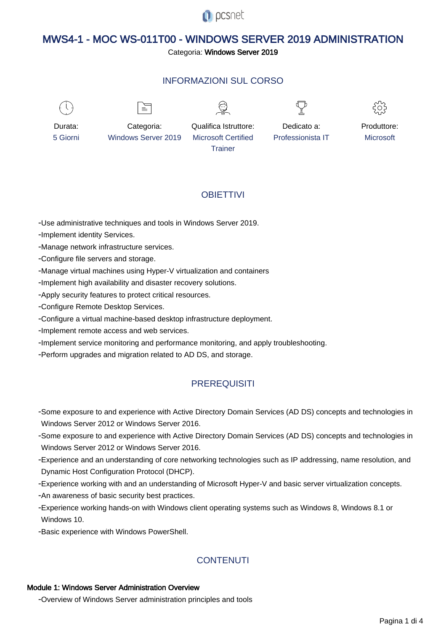

# MWS4-1 - MOC WS-011T00 - WINDOWS SERVER 2019 ADMINISTRATION

#### Categoria: Windows Server 2019

## INFORMAZIONI SUL CORSO



 $\equiv$ 





Durata: 5 Giorni

Categoria: Windows Server 2019

Qualifica Istruttore: Microsoft Certified **Trainer** 

Dedicato a: Professionista IT



# **OBIFTTIVI**

- Use administrative techniques and tools in Windows Server 2019.

- Implement identity Services.

- Manage network infrastructure services.

- Configure file servers and storage.

- Manage virtual machines using Hyper-V virtualization and containers

- Implement high availability and disaster recovery solutions.

- Apply security features to protect critical resources.

- Configure Remote Desktop Services.

- Configure a virtual machine-based desktop infrastructure deployment.

- Implement remote access and web services.

- Implement service monitoring and performance monitoring, and apply troubleshooting.

- Perform upgrades and migration related to AD DS, and storage.

# **PREREQUISITI**

- Some exposure to and experience with Active Directory Domain Services (AD DS) concepts and technologies in Windows Server 2012 or Windows Server 2016.
- Some exposure to and experience with Active Directory Domain Services (AD DS) concepts and technologies in Windows Server 2012 or Windows Server 2016.
- Experience and an understanding of core networking technologies such as IP addressing, name resolution, and Dynamic Host Configuration Protocol (DHCP).
- Experience working with and an understanding of Microsoft Hyper-V and basic server virtualization concepts.
- An awareness of basic security best practices.
- Experience working hands-on with Windows client operating systems such as Windows 8, Windows 8.1 or Windows 10.

- Basic experience with Windows PowerShell.

# **CONTENUTI**

#### Module 1: Windows Server Administration Overview

- Overview of Windows Server administration principles and tools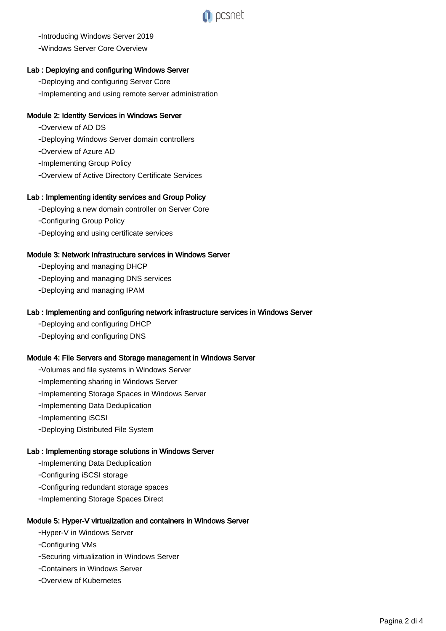

- Introducing Windows Server 2019

- Windows Server Core Overview

#### Lab : Deploying and configuring Windows Server

- Deploying and configuring Server Core

- Implementing and using remote server administration

#### Module 2: Identity Services in Windows Server

- Overview of AD DS
- Deploying Windows Server domain controllers
- Overview of Azure AD
- Implementing Group Policy
- Overview of Active Directory Certificate Services

#### Lab : Implementing identity services and Group Policy

- Deploying a new domain controller on Server Core
- Configuring Group Policy
- Deploying and using certificate services

#### Module 3: Network Infrastructure services in Windows Server

- Deploying and managing DHCP
- Deploying and managing DNS services
- Deploying and managing IPAM

#### Lab : Implementing and configuring network infrastructure services in Windows Server

- Deploying and configuring DHCP
- Deploying and configuring DNS

#### Module 4: File Servers and Storage management in Windows Server

- Volumes and file systems in Windows Server
- Implementing sharing in Windows Server
- Implementing Storage Spaces in Windows Server
- Implementing Data Deduplication
- Implementing iSCSI
- Deploying Distributed File System

## Lab : Implementing storage solutions in Windows Server

- Implementing Data Deduplication
- Configuring iSCSI storage
- Configuring redundant storage spaces
- Implementing Storage Spaces Direct

## Module 5: Hyper-V virtualization and containers in Windows Server

- Hyper-V in Windows Server
- Configuring VMs
- Securing virtualization in Windows Server
- Containers in Windows Server
- Overview of Kubernetes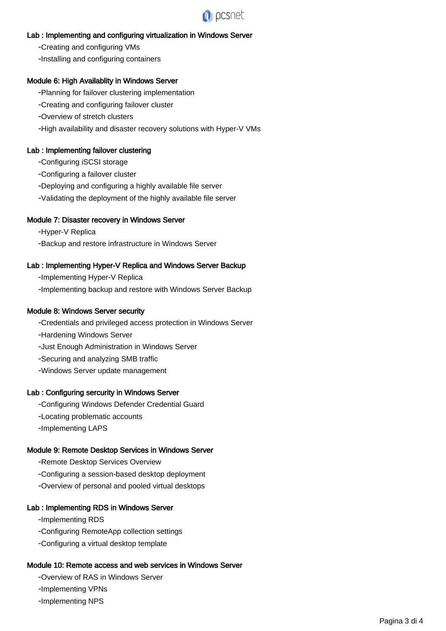

#### Lab : Implementing and configuring virtualization in Windows Server

- Creating and configuring VMs
- Installing and configuring containers

#### Module 6: High Availablity in Windows Server

- Planning for failover clustering implementation
- Creating and configuring failover cluster
- Overview of stretch clusters
- High availability and disaster recovery solutions with Hyper-V VMs

#### Lab : Implementing failover clustering

- Configuring iSCSI storage
- Configuring a failover cluster
- Deploying and configuring a highly available file server
- Validating the deployment of the highly available file server

#### Module 7: Disaster recovery in Windows Server

- Hyper-V Replica
- Backup and restore infrastructure in Windows Server

#### Lab : Implementing Hyper-V Replica and Windows Server Backup

- Implementing Hyper-V Replica
- Implementing backup and restore with Windows Server Backup

#### Module 8: Windows Server security

- Credentials and privileged access protection in Windows Server
- Hardening Windows Server
- Just Enough Administration in Windows Server
- Securing and analyzing SMB traffic
- Windows Server update management

#### Lab : Configuring sercurity in Windows Server

- Configuring Windows Defender Credential Guard
- Locating problematic accounts
- Implementing LAPS

#### Module 9: Remote Desktop Services in Windows Server

- Remote Desktop Services Overview
- Configuring a session-based desktop deployment
- Overview of personal and pooled virtual desktops

#### Lab : Implementing RDS in Windows Server

- Implementing RDS
- Configuring RemoteApp collection settings
- Configuring a virtual desktop template

#### Module 10: Remote access and web services in Windows Server

- Overview of RAS in Windows Server
- Implementing VPNs
- Implementing NPS